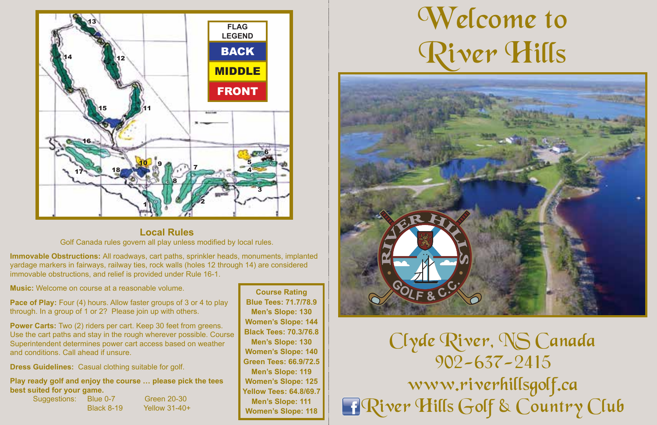

Local Rules Local Rules **Local Rules** Golf Canada rules govern all play unless modified by local rules.

Immovable Obstructions: All roadways, cart paths, sprinkler heads, monuments, implanted miniovable Obstructions. All roadways, cart paths, sprinkler heads, mondifients, implanter<br>yardage markers in fairways, railway ties, rock walls (holes 12 through 14) are considered are considered immovable obstructions, and relief is provided under Rule 16-1. are considered immovable obstructions, and relief is provided under Rule 16-1. immovable obstructions, and relief is provided under Rule 16-1.

**Music:** Welcome on course at a reasonable volume.

**Pace of Play:** Four (4) hours: Allow flaster groups of 5 or 4 to play<br>through. In a group of 1 or 2? Please join up with others. **Pace of Play:** Four (4) hours. Allow faster groups of 3 or 4 to play

**Power Carts:** Two (2) riders per cart. Keep 30 feet from greens. Use the cart paths and stay in the rough wherever possible. Course Superintendent determines power cart access based on weather and conditions. Call ahead if unsure.

**Dress Guidelines:** Casual clothing suitable for golf.

Play ready golf and enjoy the course ... please pick the tees Blue: 0-7 Green: 19-29 Blue: 0-7 Green: 19-29 Suggestions: Blue 0-7 Green 20-30 **best suited for your game.**

Black: 8-18 Yellow: 30-40+ Black: 8-18 Yellow: 30-40+ Black 8-19 Yellow 31-40+

*Course Rating Course Rating* **Course Rating Blue Tees: 71.7/78.9 Blue Tees: 71.7/78.9 Blue Tees: 71.7/78.9 Men's Slope: 130 Men's Slope: 130 Men's Slope: 130 Women's Slope: 144 Women's Slope: 144 Women's Slope: 144 Black Tees: 70.3/76.8 Black Tees: 70.3/76.8 Black Tees: 70.3/76.8 Men's Slope: 130 Men's Slope: 130 Men's Slope: 130 Women's Slope: 140 Women's Slope: 140 Women's Slope: 140 Green Tees: 66.9/72.5 Green Tees: 66.9/72.5 Green Tees: 66.9/72.5 Men's Slope: 119 Men's Slope: 119 Men's Slope: 119 Women's Slope: 125 Women's Slope: 125 Women's Slope: 125 Yellow Tees: 64.8/69.7 Yellow Tees: 64.8/69.7 Yellow Tees: 64.8/69.7 Men's Slope: 111 Men's Slope: 111 Men's Slope: 111 Women's Slope: 118 Women's Slope: 118 Women's Slope: 118**

## Welcome to Welcome to Welcome to River Hills River Hills River Hills



Clyde River, NS Canada Clyde River, NS Canada Clyde River, NS Canada 902-637-2415 902-637-2415 902-637-2415 www.riverhillsgolf.ca www.riverhillsgolf.ca www.riverhillsgolf.ca River Hills Golf & Country Club River Hills Golf & Country Club River Hills Golf & Country Club